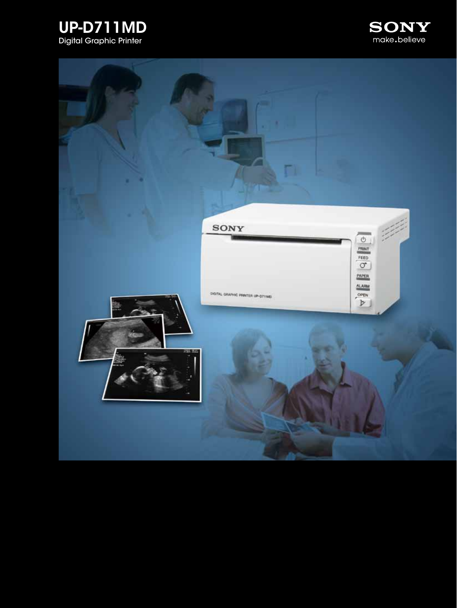



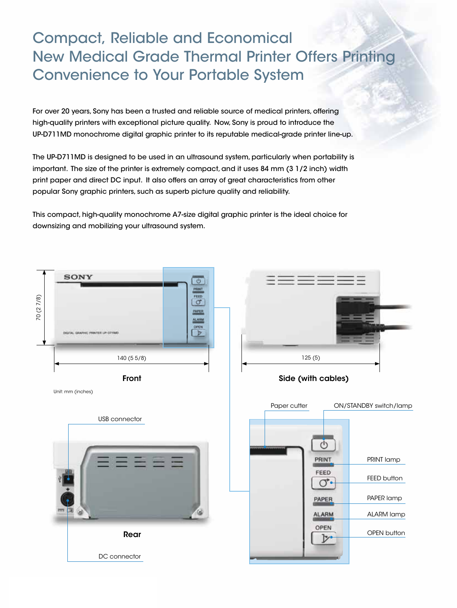# Compact, Reliable and Economical New Medical Grade Thermal Printer Offers Printing Convenience to Your Portable System

For over 20 years, Sony has been a trusted and reliable source of medical printers, offering high-quality printers with exceptional picture quality. Now, Sony is proud to introduce the UP-D711MD monochrome digital graphic printer to its reputable medical-grade printer line-up.

The UP-D711MD is designed to be used in an ultrasound system, particularly when portability is important. The size of the printer is extremely compact, and it uses 84 mm (3 1/2 inch) width print paper and direct DC input. It also offers an array of great characteristics from other popular Sony graphic printers, such as superb picture quality and reliability.

This compact, high-quality monochrome A7-size digital graphic printer is the ideal choice for downsizing and mobilizing your ultrasound system.

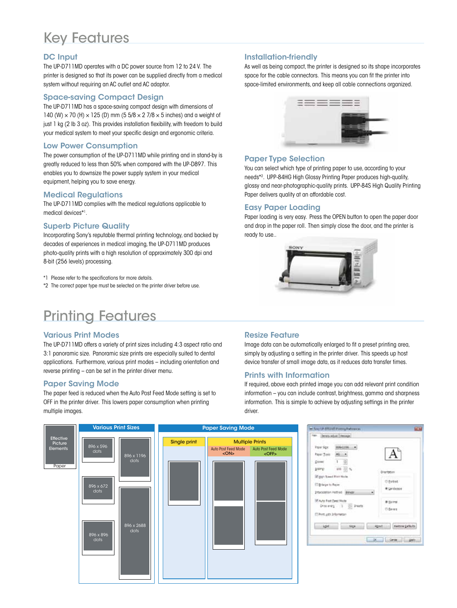# Key Features

### DC Input

The UP-D711MD operates with a DC power source from 12 to 24 V. The printer is designed so that its power can be supplied directly from a medical system without requiring an AC outlet and AC adaptor.

### Space-saving Compact Design

The UP-D711MD has a space-saving compact design with dimensions of 140 (W)  $\times$  70 (H)  $\times$  125 (D) mm (5 5/8  $\times$  2 7/8  $\times$  5 inches) and a weight of just 1 kg (2 lb 3 oz). This provides installation flexibility, with freedom to build your medical system to meet your specific design and ergonomic criteria.

#### Low Power Consumption

The power consumption of the UP-D711MD while printing and in stand-by is greatly reduced to less than 50% when compared with the UP-D897. This enables you to downsize the power supply system in your medical equipment, helping you to save energy.

### Medical Regulations

The UP-D711MD complies with the medical regulations applicable to medical devices\*1 .

### Superb Picture Quality

Incorporating Sony's reputable thermal printing technology, and backed by decades of experiences in medical imaging, the UP-D711MD produces photo-quality prints with a high resolution of approximately 300 dpi and 8-bit (256 levels) processing.

\*1 Please refer to the specifications for more details.

\*2 The correct paper type must be selected on the printer driver before use.

## Printing Features

#### Various Print Modes

The UP-D711MD offers a variety of print sizes including 4:3 aspect ratio and 3:1 panoramic size. Panoramic size prints are especially suited to dental applications. Furthermore, various print modes – including orientation and reverse printing – can be set in the printer driver menu.

#### Paper Saving Mode

The paper feed is reduced when the Auto Post Feed Mode setting is set to OFF in the printer driver. This lowers paper consumption when printing multiple images.

### Installation-friendly

As well as being compact, the printer is designed so its shape incorporates space for the cable connectors. This means you can fit the printer into space-limited environments, and keep all cable connections organized.



#### Paper Type Selection

You can select which type of printing paper to use, according to your needs\*2 . UPP-84HG High Glossy Printing Paper produces high-quality, glossy and near-photographic-quality prints. UPP-84S High Quality Printing Paper delivers quality at an affordable cost.

### Easy Paper Loading

Paper loading is very easy. Press the OPEN button to open the paper door and drop in the paper roll. Then simply close the door, and the printer is ready to use..



### Resize Feature

Image data can be automatically enlarged to fit a preset printing area, simply by adjusting a setting in the printer driver. This speeds up host device transfer of small image data, as it reduces data transfer times.

### Prints with Information

If required, above each printed image you can add relevant print condition information – you can include contrast, brightness, gamma and sharpness information. This is simple to achieve by adjusting settings in the printer driver.



|                                 | Faper Spx:   IEDDALIDE          |                                     |
|---------------------------------|---------------------------------|-------------------------------------|
|                                 |                                 |                                     |
|                                 | Paper Tore Million              |                                     |
| CIONE"                          | $\mathbf{1}$                    |                                     |
| 2 calingr                       | 100 (2)                         | Directation                         |
|                                 | (2) High Stewart Black Highland |                                     |
| <b>Dibilege to Face:</b>        |                                 | O Esitrat                           |
| Interoceton Hattod: Bengar<br>٠ |                                 | * Landscape                         |
| IVI Auto Fost Eeed Node         |                                 | # liams                             |
|                                 | Dros entry 1 3 20 Prests        | O Berett -                          |
| El Print arth Information       |                                 |                                     |
| $-1484$                         | $54 - 4$                        | Kentrin Exflicts<br><b>Abbat Li</b> |